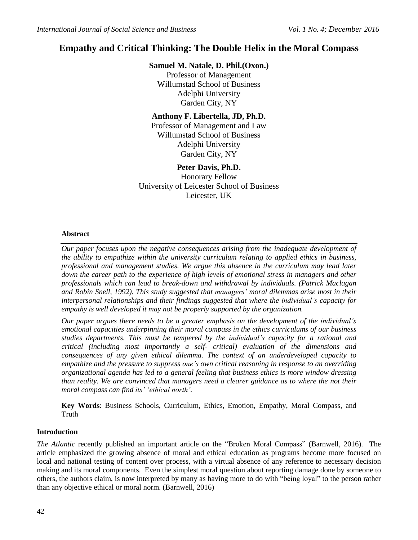# **Empathy and Critical Thinking: The Double Helix in the Moral Compass**

### **Samuel M. Natale, D. Phil.(Oxon.)**

Professor of Management Willumstad School of Business Adelphi University Garden City, NY

## **Anthony F. Libertella, JD, Ph.D.**

Professor of Management and Law Willumstad School of Business Adelphi University Garden City, NY

## **Peter Davis, Ph.D.**

Honorary Fellow University of Leicester School of Business Leicester, UK

### **Abstract**

*Our paper focuses upon the negative consequences arising from the inadequate development of the ability to empathize within the university curriculum relating to applied ethics in business, professional and management studies. We argue this absence in the curriculum may lead later down the career path to the experience of high levels of emotional stress in managers and other professionals which can lead to break-down and withdrawal by individuals. (Patrick Maclagan and Robin Snell, 1992). This study suggested that managers" moral dilemmas arise most in their interpersonal relationships and their findings suggested that where the individual"s capacity for empathy is well developed it may not be properly supported by the organization.*

*Our paper argues there needs to be a greater emphasis on the development of the individual"s emotional capacities underpinning their moral compass in the ethics curriculums of our business studies departments. This must be tempered by the individual"s capacity for a rational and critical (including most importantly a self- critical) evaluation of the dimensions and consequences of any given ethical dilemma. The context of an underdeveloped capacity to empathize and the pressure to suppress one"s own critical reasoning in response to an overriding organizational agenda has led to a general feeling that business ethics is more window dressing than reality. We are convinced that managers need a clearer guidance as to where the not their moral compass can find its" "ethical north".*

**Key Words**: Business Schools, Curriculum, Ethics, Emotion, Empathy, Moral Compass, and Truth

### **Introduction**

*The Atlantic* recently published an important article on the "Broken Moral Compass" (Barnwell, 2016). The article emphasized the growing absence of moral and ethical education as programs become more focused on local and national testing of content over process, with a virtual absence of any reference to necessary decision making and its moral components. Even the simplest moral question about reporting damage done by someone to others, the authors claim, is now interpreted by many as having more to do with "being loyal" to the person rather than any objective ethical or moral norm. (Barnwell, 2016)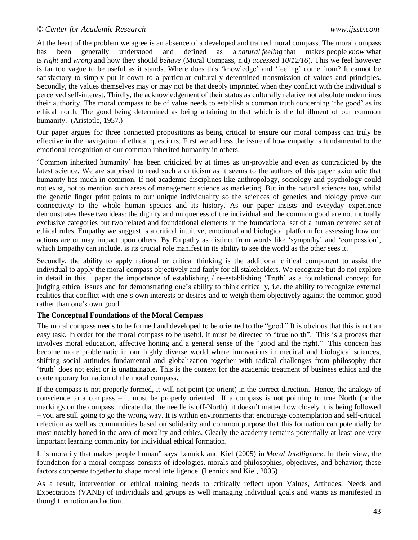At the heart of the problem we agree is an absence of a developed and trained moral compass. The moral compass has been generally understood and defined as a *[natural](http://dictionary.cambridge.org/us/dictionary/english/natural) [feeling](http://dictionary.cambridge.org/us/dictionary/english/feeling)* that makes [people](http://dictionary.cambridge.org/us/dictionary/english/people) *[know](http://dictionary.cambridge.org/us/dictionary/english/know)* what is *[right](http://dictionary.cambridge.org/us/dictionary/english/right)* and *[wrong](http://dictionary.cambridge.org/us/dictionary/english/wrong)* and how they should *[behave](http://dictionary.cambridge.org/us/dictionary/english/behave)* (Moral Compass, n.d) *accessed 10/12/16*). This we feel however is far too vague to be useful as it stands. Where does this "knowledge" and "feeling" come from? It cannot be satisfactory to simply put it down to a particular culturally determined transmission of values and principles. Secondly, the values themselves may or may not be that deeply imprinted when they conflict with the individual's perceived self-interest. Thirdly, the acknowledgement of their status as culturally relative not absolute undermines their authority. The moral compass to be of value needs to establish a common truth concerning "the good" as its ethical north. The good being determined as being attaining to that which is the fulfillment of our common humanity. (Aristotle, 1957.)

Our paper argues for three connected propositions as being critical to ensure our moral compass can truly be effective in the navigation of ethical questions. First we address the issue of how empathy is fundamental to the emotional recognition of our common inherited humanity in others.

"Common inherited humanity" has been criticized by at times as un-provable and even as contradicted by the latest science. We are surprised to read such a criticism as it seems to the authors of this paper axiomatic that humanity has much in common. If not academic disciplines like anthropology, sociology and psychology could not exist, not to mention such areas of management science as marketing. But in the natural sciences too, whilst the genetic finger print points to our unique individuality so the sciences of genetics and biology prove our connectivity to the whole human species and its history. As our paper insists and everyday experience demonstrates these two ideas: the dignity and uniqueness of the individual and the common good are not mutually exclusive categories but two related and foundational elements in the foundational set of a human centered set of ethical rules. Empathy we suggest is a critical intuitive, emotional and biological platform for assessing how our actions are or may impact upon others. By Empathy as distinct from words like "sympathy" and "compassion", which Empathy can include, is its crucial role manifest in its ability to see the world as the other sees it.

Secondly, the ability to apply rational or critical thinking is the additional critical component to assist the individual to apply the moral compass objectively and fairly for all stakeholders*.* We recognize but do not explore in detail in this paper the importance of establishing  $/$  re-establishing  $T$ ruth' as a foundational concept for judging ethical issues and for demonstrating one"s ability to think critically, i.e. the ability to recognize external realities that conflict with one"s own interests or desires and to weigh them objectively against the common good rather than one's own good.

### **The Conceptual Foundations of the Moral Compass**

The moral compass needs to be formed and developed to be oriented to the "good." It is obvious that this is not an easy task. In order for the moral compass to be useful, it must be directed to "true north". This is a process that involves moral education, affective honing and a general sense of the "good and the right." This concern has become more problematic in our highly diverse world where innovations in medical and biological sciences, shifting social attitudes fundamental and globalization together with radical challenges from philosophy that 'truth' does not exist or is unattainable. This is the context for the academic treatment of business ethics and the contemporary formation of the moral compass.

If the compass is not properly formed, it will not point (or orient) in the correct direction. Hence, the analogy of conscience to a compass – it must be properly oriented. If a compass is not pointing to true North (or the markings on the compass indicate that the needle is off-North), it doesn"t matter how closely it is being followed – you are still going to go the wrong way. It is within environments that encourage contemplation and self-critical refection as well as communities based on solidarity and common purpose that this formation can potentially be most notably honed in the area of morality and ethics. Clearly the academy remains potentially at least one very important learning community for individual ethical formation.

It is morality that makes people human" says Lennick and Kiel (2005) in *Moral Intelligence*. In their view, the foundation for a moral compass consists of ideologies, morals and philosophies, objectives, and behavior; these factors cooperate together to shape moral intelligence. (Lennick and Kiel, 2005)

As a result, intervention or ethical training needs to critically reflect upon Values, Attitudes, Needs and Expectations (VANE) of individuals and groups as well managing individual goals and wants as manifested in thought, emotion and action.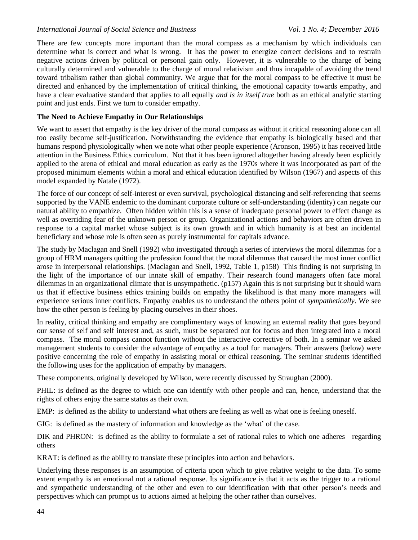There are few concepts more important than the moral compass as a mechanism by which individuals can determine what is correct and what is wrong. It has the power to energize correct decisions and to restrain negative actions driven by political or personal gain only. However, it is vulnerable to the charge of being culturally determined and vulnerable to the charge of moral relativism and thus incapable of avoiding the trend toward tribalism rather than global community. We argue that for the moral compass to be effective it must be directed and enhanced by the implementation of critical thinking, the emotional capacity towards empathy, and have a clear evaluative standard that applies to all equally *and is in itself true* both as an ethical analytic starting point and just ends. First we turn to consider empathy.

#### **The Need to Achieve Empathy in Our Relationships**

We want to assert that empathy is the key driver of the moral compass as without it critical reasoning alone can all too easily become self-justification. Notwithstanding the evidence that empathy is biologically based and that humans respond physiologically when we note what other people experience (Aronson, 1995) it has received little attention in the Business Ethics curriculum. Not that it has been ignored altogether having already been explicitly applied to the arena of ethical and moral education as early as the 1970s where it was incorporated as part of the proposed minimum elements within a moral and ethical education identified by Wilson (1967) and aspects of this model expanded by Natale (1972).

The force of our concept of self-interest or even survival, psychological distancing and self-referencing that seems supported by the VANE endemic to the dominant corporate culture or self-understanding (identity) can negate our natural ability to empathize. Often hidden within this is a sense of inadequate personal power to effect change as well as overriding fear of the unknown person or group. Organizational actions and behaviors are often driven in response to a capital market whose subject is its own growth and in which humanity is at best an incidental beneficiary and whose role is often seen as purely instrumental for capitals advance.

The study by Maclagan and Snell (1992) who investigated through a series of interviews the moral dilemmas for a group of HRM managers quitting the profession found that the moral dilemmas that caused the most inner conflict arose in interpersonal relationships. (Maclagan and Snell, 1992, Table 1, p158) This finding is not surprising in the light of the importance of our innate skill of empathy. Their research found managers often face moral dilemmas in an organizational climate that is unsympathetic. (p157) Again this is not surprising but it should warn us that if effective business ethics training builds on empathy the likelihood is that many more managers will experience serious inner conflicts. Empathy enables us to understand the others point of *sympathetically*. We see how the other person is feeling by placing ourselves in their shoes.

In reality, critical thinking and empathy are complimentary ways of knowing an external reality that goes beyond our sense of self and self interest and, as such, must be separated out for focus and then integrated into a moral compass. The moral compass cannot function without the interactive corrective of both. In a seminar we asked management students to consider the advantage of empathy as a tool for managers. Their answers (below) were positive concerning the role of empathy in assisting moral or ethical reasoning. The seminar students identified the following uses for the application of empathy by managers.

These components, originally developed by Wilson, were recently discussed by Straughan (2000).

PHIL: is defined as the degree to which one can identify with other people and can, hence, understand that the rights of others enjoy the same status as their own.

EMP: is defined as the ability to understand what others are feeling as well as what one is feeling oneself.

GIG: is defined as the mastery of information and knowledge as the "what" of the case.

DIK and PHRON: is defined as the ability to formulate a set of rational rules to which one adheres regarding others

KRAT: is defined as the ability to translate these principles into action and behaviors.

Underlying these responses is an assumption of criteria upon which to give relative weight to the data. To some extent empathy is an emotional not a rational response. Its significance is that it acts as the trigger to a rational and sympathetic understanding of the other and even to our identification with that other person"s needs and perspectives which can prompt us to actions aimed at helping the other rather than ourselves.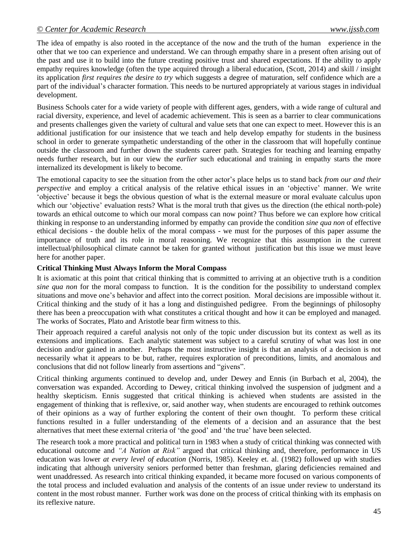The idea of empathy is also rooted in the acceptance of the now and the truth of the human experience in the other that we too can experience and understand. We can through empathy share in a present often arising out of the past and use it to build into the future creating positive trust and shared expectations. If the ability to apply empathy requires knowledge (often the type acquired through a liberal education, (Scott, 2014) and skill / insight its application *first requires the desire to try* which suggests a degree of maturation, self confidence which are a part of the individual's character formation. This needs to be nurtured appropriately at various stages in individual development.

Business Schools cater for a wide variety of people with different ages, genders, with a wide range of cultural and racial diversity, experience, and level of academic achievement. This is seen as a barrier to clear communications and presents challenges given the variety of cultural and value sets that one can expect to meet. However this is an additional justification for our insistence that we teach and help develop empathy for students in the business school in order to generate sympathetic understanding of the other in the classroom that will hopefully continue outside the classroom and further down the students career path. Strategies for teaching and learning empathy needs further research, but in our view the *earlier* such educational and training in empathy starts the more internalized its development is likely to become.

The emotional capacity to see the situation from the other actor"s place helps us to stand back *from our and their perspective* and employ a critical analysis of the relative ethical issues in an 'objective' manner. We write "objective" because it begs the obvious question of what is the external measure or moral evaluate calculus upon which our 'objective' evaluation rests? What is the moral truth that gives us the direction (the ethical north-pole) towards an ethical outcome to which our moral compass can now point? Thus before we can explore how critical thinking in response to an understanding informed by empathy can provide the condition *sine qua non* of effective ethical decisions - the double helix of the moral compass - we must for the purposes of this paper assume the importance of truth and its role in moral reasoning. We recognize that this assumption in the current intellectual/philosophical climate cannot be taken for granted without justification but this issue we must leave here for another paper.

#### **Critical Thinking Must Always Inform the Moral Compass**

It is axiomatic at this point that critical thinking that is committed to arriving at an objective truth is a condition *sine qua non* for the moral compass to function. It is the condition for the possibility to understand complex situations and move one"s behavior and affect into the correct position. Moral decisions are impossible without it. Critical thinking and the study of it has a long and distinguished pedigree. From the beginnings of philosophy there has been a preoccupation with what constitutes a critical thought and how it can be employed and managed. The works of Socrates, Plato and Aristotle bear firm witness to this.

Their approach required a careful analysis not only of the topic under discussion but its context as well as its extensions and implications. Each analytic statement was subject to a careful scrutiny of what was lost in one decision and/or gained in another. Perhaps the most instructive insight is that an analysis of a decision is not necessarily what it appears to be but, rather, requires exploration of preconditions, limits, and anomalous and conclusions that did not follow linearly from assertions and "givens".

Critical thinking arguments continued to develop and, under Dewey and Ennis (in Burbach et al, 2004), the conversation was expanded. According to Dewey, critical thinking involved the suspension of judgment and a healthy skepticism. Ennis suggested that critical thinking is achieved when students are assisted in the engagement of thinking that is reflexive, or, said another way, when students are encouraged to rethink outcomes of their opinions as a way of further exploring the content of their own thought. To perform these critical functions resulted in a fuller understanding of the elements of a decision and an assurance that the best alternatives that meet these external criteria of "the good" and "the true" have been selected.

The research took a more practical and political turn in 1983 when a study of critical thinking was connected with educational outcome and *"A Nation at Risk"* argued that critical thinking and, therefore, performance in US education was lower *at every level of education* (Norris*,* 1985). Keeley et. al. (1982) followed up with studies indicating that although university seniors performed better than freshman, glaring deficiencies remained and went unaddressed. As research into critical thinking expanded, it became more focused on various components of the total process and included evaluation and analysis of the contents of an issue under review to understand its content in the most robust manner. Further work was done on the process of critical thinking with its emphasis on its reflexive nature.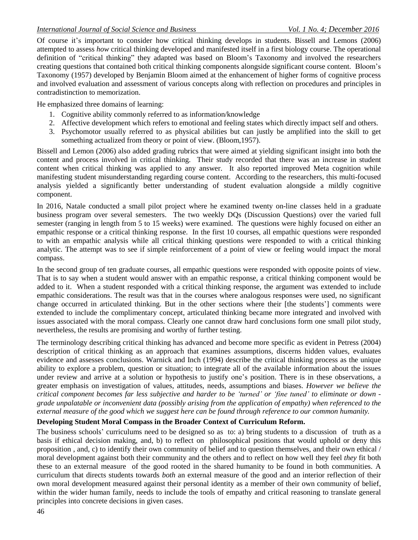Of course it"s important to consider how critical thinking develops in students. Bissell and Lemons (2006) attempted to assess *how* critical thinking developed and manifested itself in a first biology course. The operational definition of "critical thinking" they adapted was based on Bloom"s Taxonomy and involved the researchers creating questions that contained both critical thinking components alongside significant course content. Bloom"s Taxonomy (1957) developed by Benjamin Bloom aimed at the enhancement of higher forms of cognitive process and involved evaluation and assessment of various concepts along with reflection on procedures and principles in contradistinction to memorization.

He emphasized three domains of learning:

- 1. Cognitive ability commonly referred to as information/knowledge
- 2. Affective development which refers to emotional and feeling states which directly impact self and others.
- 3. Psychomotor usually referred to as physical abilities but can justly be amplified into the skill to get something actualized from theory or point of view. (Bloom,1957).

Bissell and Lemon (2006) also added grading rubrics that were aimed at yielding significant insight into both the content and process involved in critical thinking. Their study recorded that there was an increase in student content when critical thinking was applied to any answer. It also reported improved Meta cognition while manifesting student misunderstanding regarding course content. According to the researchers, this multi-focused analysis yielded a significantly better understanding of student evaluation alongside a mildly cognitive component.

In 2016, Natale conducted a small pilot project where he examined twenty on-line classes held in a graduate business program over several semesters. The two weekly DQs (Discussion Questions) over the varied full semester (ranging in length from 5 to 15 weeks) were examined. The questions were highly focused on either an empathic response or a critical thinking response. In the first 10 courses, all empathic questions were responded to with an empathic analysis while all critical thinking questions were responded to with a critical thinking analytic. The attempt was to see if simple reinforcement of a point of view or feeling would impact the moral compass.

In the second group of ten graduate courses, all empathic questions were responded with opposite points of view. That is to say when a student would answer with an empathic response, a critical thinking component would be added to it. When a student responded with a critical thinking response, the argument was extended to include empathic considerations. The result was that in the courses where analogous responses were used, no significant change occurred in articulated thinking. But in the other sections where their [the students"] comments were extended to include the complimentary concept, articulated thinking became more integrated and involved with issues associated with the moral compass. Clearly one cannot draw hard conclusions form one small pilot study, nevertheless, the results are promising and worthy of further testing.

The terminology describing critical thinking has advanced and become more specific as evident in Petress (2004) description of critical thinking as an approach that examines assumptions, discerns hidden values, evaluates evidence and assesses conclusions. Warnick and Inch (1994) describe the critical thinking process as the unique ability to explore a problem, question or situation; to integrate all of the available information about the issues under review and arrive at a solution or hypothesis to justify one"s position. There is in these observations, a greater emphasis on investigation of values, attitudes, needs, assumptions and biases. *However we believe the* critical component becomes far less subjective and harder to be 'turned' or 'fine tuned' to eliminate or down *grade unpalatable or inconvenient data (possibly arising from the application of empathy) when referenced to the* external measure of the good which we suggest here can be found through reference to our common humanity.

### **Developing Student Moral Compass in the Broader Context of Curriculum Reform.**

The business schools' curriculums need to be designed so as to: a) bring students to a discussion of truth as a basis if ethical decision making, and, b) to reflect on philosophical positions that would uphold or deny this proposition , and, c) to identify their own community of belief and to question themselves, and their own ethical / moral development against both their community and the others and to reflect on how well they feel *they* fit both these to an external measure of the good rooted in the shared humanity to be found in both communities. A curriculum that directs students towards *both* an external measure of the good and an interior reflection of their own moral development measured against their personal identity as a member of their own community of belief, within the wider human family, needs to include the tools of empathy and critical reasoning to translate general principles into concrete decisions in given cases.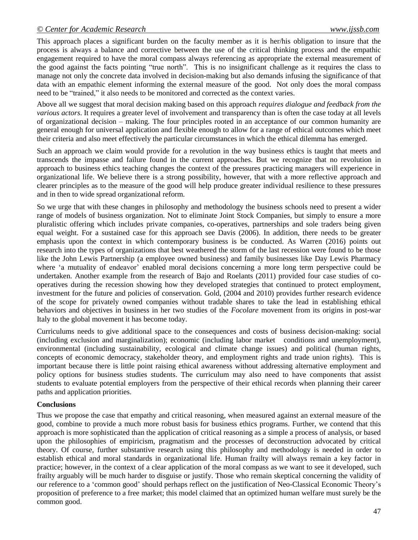This approach places a significant burden on the faculty member as it is her/his obligation to insure that the process is always a balance and corrective between the use of the critical thinking process and the empathic engagement required to have the moral compass always referencing as appropriate the external measurement of the good against the facts pointing "true north". This is no insignificant challenge as it requires the class to manage not only the concrete data involved in decision-making but also demands infusing the significance of that data with an empathic element informing the external measure of the good. Not only does the moral compass need to be "trained," it also needs to be monitored and corrected as the context varies.

Above all we suggest that moral decision making based on this approach *requires dialogue and feedback from the various actors*. It requires a greater level of involvement and transparency than is often the case today at all levels of organizational decision – making. The four principles rooted in an acceptance of our common humanity are general enough for universal application and flexible enough to allow for a range of ethical outcomes which meet their criteria and also meet effectively the particular circumstances in which the ethical dilemma has emerged.

Such an approach we claim would provide for a revolution in the way business ethics is taught that meets and transcends the impasse and failure found in the current approaches. But we recognize that no revolution in approach to business ethics teaching changes the context of the pressures practicing managers will experience in organizational life. We believe there is a strong possibility, however, that with a more reflective approach and clearer principles as to the measure of the good will help produce greater individual resilience to these pressures and in then to wide spread organizational reform.

So we urge that with these changes in philosophy and methodology the business schools need to present a wider range of models of business organization. Not to eliminate Joint Stock Companies, but simply to ensure a more pluralistic offering which includes private companies, co-operatives, partnerships and sole traders being given equal weight. For a sustained case for this approach see Davis (2006). In addition, there needs to be greater emphasis upon the context in which contemporary business is be conducted. As Warren (2016) points out research into the types of organizations that best weathered the storm of the last recession were found to be those like the John Lewis Partnership (a employee owned business) and family businesses like Day Lewis Pharmacy where 'a mutuality of endeavor' enabled moral decisions concerning a more long term perspective could be undertaken. Another example from the research of Bajo and Roelants (2011) provided four case studies of cooperatives during the recession showing how they developed strategies that continued to protect employment, investment for the future and policies of conservation. Gold, (2004 and 2010) provides further research evidence of the scope for privately owned companies without tradable shares to take the lead in establishing ethical behaviors and objectives in business in her two studies of the *Focolare* movement from its origins in post-war Italy to the global movement it has become today.

Curriculums needs to give additional space to the consequences and costs of business decision-making: social (including exclusion and marginalization); economic (including labor market conditions and unemployment), environmental (including sustainability, ecological and climate change issues) and political (human rights, concepts of economic democracy, stakeholder theory, and employment rights and trade union rights). This is important because there is little point raising ethical awareness without addressing alternative employment and policy options for business studies students. The curriculum may also need to have components that assist students to evaluate potential employers from the perspective of their ethical records when planning their career paths and application priorities.

### **Conclusions**

Thus we propose the case that empathy and critical reasoning, when measured against an external measure of the good, combine to provide a much more robust basis for business ethics programs. Further, we contend that this approach is more sophisticated than the application of critical reasoning as a simple a process of analysis, or based upon the philosophies of empiricism, pragmatism and the processes of deconstruction advocated by critical theory. Of course, further substantive research using this philosophy and methodology is needed in order to establish ethical and moral standards in organizational life. Human frailty will always remain a key factor in practice; however, in the context of a clear application of the moral compass as we want to see it developed, such frailty arguably will be much harder to disguise or justify. Those who remain skeptical concerning the validity of our reference to a "common good" should perhaps reflect on the justification of Neo-Classical Economic Theory"s proposition of preference to a free market; this model claimed that an optimized human welfare must surely be the common good.